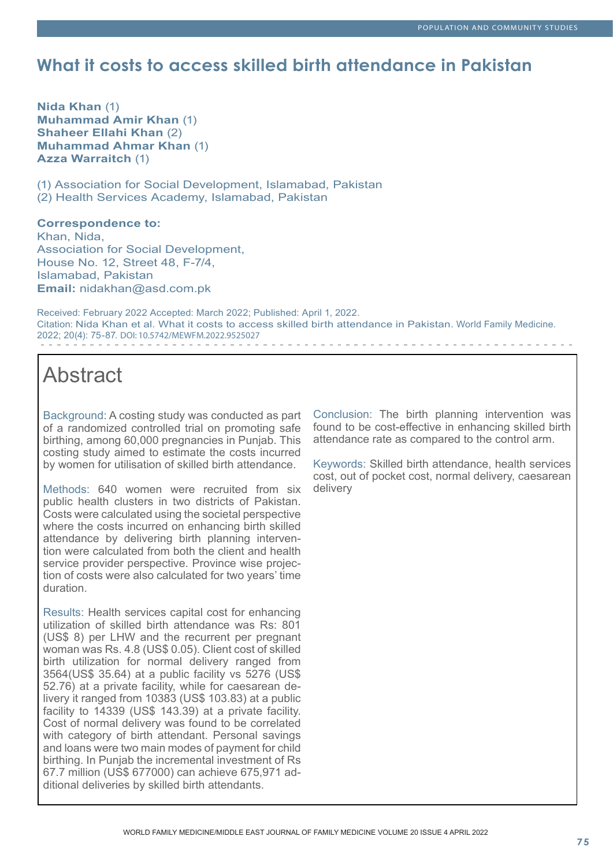# **What it costs to access skilled birth attendance in Pakistan**

**Nida Khan** (1) **Muhammad Amir Khan** (1) **Shaheer Ellahi Khan** (2) **Muhammad Ahmar Khan** (1) **Azza Warraitch** (1)

(1) Association for Social Development, Islamabad, Pakistan (2) Health Services Academy, Islamabad, Pakistan

# **Correspondence to:**

Khan, Nida, Association for Social Development, House No. 12, Street 48, F-7/4, Islamabad, Pakistan **Email:** nidakhan@asd.com.pk

Received: February 2022 Accepted: March 2022; Published: April 1, 2022. Citation: Nida Khan et al. What it costs to access skilled birth attendance in Pakistan. World Family Medicine. 2022; 20(4): 75-87. DOI: 10.5742/MEWFM.2022.9525027 

# Abstract

Background: A costing study was conducted as part of a randomized controlled trial on promoting safe birthing, among 60,000 pregnancies in Punjab. This costing study aimed to estimate the costs incurred by women for utilisation of skilled birth attendance.

Methods: 640 women were recruited from six public health clusters in two districts of Pakistan. Costs were calculated using the societal perspective where the costs incurred on enhancing birth skilled attendance by delivering birth planning intervention were calculated from both the client and health service provider perspective. Province wise projection of costs were also calculated for two years' time duration.

Results: Health services capital cost for enhancing utilization of skilled birth attendance was Rs: 801 (US\$ 8) per LHW and the recurrent per pregnant woman was Rs. 4.8 (US\$ 0.05). Client cost of skilled birth utilization for normal delivery ranged from 3564(US\$ 35.64) at a public facility vs 5276 (US\$ 52.76) at a private facility, while for caesarean delivery it ranged from 10383 (US\$ 103.83) at a public facility to 14339 (US\$ 143.39) at a private facility. Cost of normal delivery was found to be correlated with category of birth attendant. Personal savings and loans were two main modes of payment for child birthing. In Punjab the incremental investment of Rs 67.7 million (US\$ 677000) can achieve 675,971 additional deliveries by skilled birth attendants.

Conclusion: The birth planning intervention was found to be cost-effective in enhancing skilled birth attendance rate as compared to the control arm.

Keywords: Skilled birth attendance, health services cost, out of pocket cost, normal delivery, caesarean delivery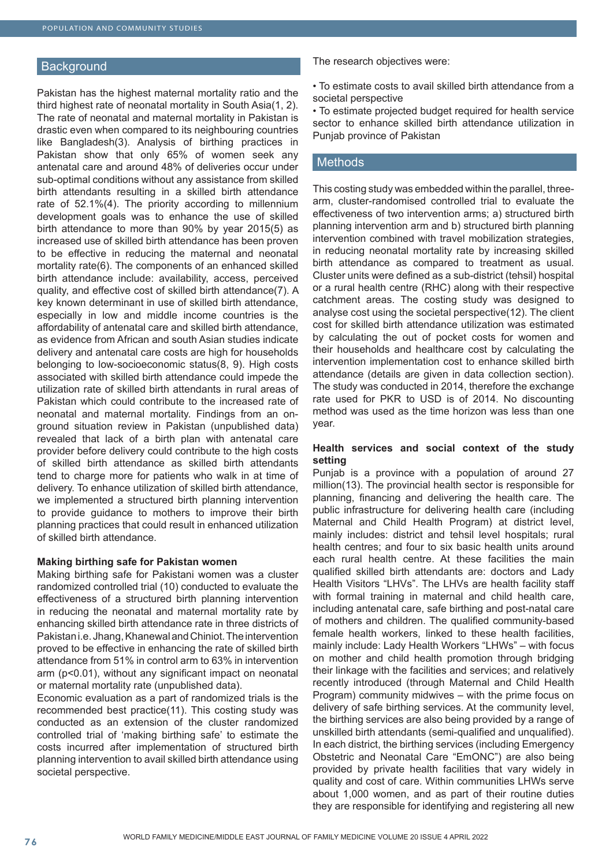#### **Background**

Pakistan has the highest maternal mortality ratio and the third highest rate of neonatal mortality in South Asia(1, 2). The rate of neonatal and maternal mortality in Pakistan is drastic even when compared to its neighbouring countries like Bangladesh(3). Analysis of birthing practices in Pakistan show that only 65% of women seek any antenatal care and around 48% of deliveries occur under sub-optimal conditions without any assistance from skilled birth attendants resulting in a skilled birth attendance rate of 52.1%(4). The priority according to millennium development goals was to enhance the use of skilled birth attendance to more than 90% by year 2015(5) as increased use of skilled birth attendance has been proven to be effective in reducing the maternal and neonatal mortality rate(6). The components of an enhanced skilled birth attendance include: availability, access, perceived quality, and effective cost of skilled birth attendance(7). A key known determinant in use of skilled birth attendance, especially in low and middle income countries is the affordability of antenatal care and skilled birth attendance, as evidence from African and south Asian studies indicate delivery and antenatal care costs are high for households belonging to low-socioeconomic status(8, 9). High costs associated with skilled birth attendance could impede the utilization rate of skilled birth attendants in rural areas of Pakistan which could contribute to the increased rate of neonatal and maternal mortality. Findings from an onground situation review in Pakistan (unpublished data) revealed that lack of a birth plan with antenatal care provider before delivery could contribute to the high costs of skilled birth attendance as skilled birth attendants tend to charge more for patients who walk in at time of delivery. To enhance utilization of skilled birth attendance, we implemented a structured birth planning intervention to provide guidance to mothers to improve their birth planning practices that could result in enhanced utilization of skilled birth attendance.

#### **Making birthing safe for Pakistan women**

Making birthing safe for Pakistani women was a cluster randomized controlled trial (10) conducted to evaluate the effectiveness of a structured birth planning intervention in reducing the neonatal and maternal mortality rate by enhancing skilled birth attendance rate in three districts of Pakistan i.e. Jhang, Khanewal and Chiniot. The intervention proved to be effective in enhancing the rate of skilled birth attendance from 51% in control arm to 63% in intervention arm (p<0.01), without any significant impact on neonatal or maternal mortality rate (unpublished data).

Economic evaluation as a part of randomized trials is the recommended best practice(11). This costing study was conducted as an extension of the cluster randomized controlled trial of 'making birthing safe' to estimate the costs incurred after implementation of structured birth planning intervention to avail skilled birth attendance using societal perspective.

The research objectives were:

• To estimate costs to avail skilled birth attendance from a societal perspective

• To estimate projected budget required for health service sector to enhance skilled birth attendance utilization in Punjab province of Pakistan

#### **Methods**

This costing study was embedded within the parallel, threearm, cluster-randomised controlled trial to evaluate the effectiveness of two intervention arms; a) structured birth planning intervention arm and b) structured birth planning intervention combined with travel mobilization strategies, in reducing neonatal mortality rate by increasing skilled birth attendance as compared to treatment as usual. Cluster units were defined as a sub-district (tehsil) hospital or a rural health centre (RHC) along with their respective catchment areas. The costing study was designed to analyse cost using the societal perspective(12). The client cost for skilled birth attendance utilization was estimated by calculating the out of pocket costs for women and their households and healthcare cost by calculating the intervention implementation cost to enhance skilled birth attendance (details are given in data collection section). The study was conducted in 2014, therefore the exchange rate used for PKR to USD is of 2014. No discounting method was used as the time horizon was less than one year.

#### **Health services and social context of the study setting**

Punjab is a province with a population of around 27 million(13). The provincial health sector is responsible for planning, financing and delivering the health care. The public infrastructure for delivering health care (including Maternal and Child Health Program) at district level, mainly includes: district and tehsil level hospitals; rural health centres; and four to six basic health units around each rural health centre. At these facilities the main qualified skilled birth attendants are: doctors and Lady Health Visitors "LHVs". The LHVs are health facility staff with formal training in maternal and child health care, including antenatal care, safe birthing and post-natal care of mothers and children. The qualified community-based female health workers, linked to these health facilities, mainly include: Lady Health Workers "LHWs" – with focus on mother and child health promotion through bridging their linkage with the facilities and services; and relatively recently introduced (through Maternal and Child Health Program) community midwives – with the prime focus on delivery of safe birthing services. At the community level, the birthing services are also being provided by a range of unskilled birth attendants (semi-qualified and unqualified). In each district, the birthing services (including Emergency Obstetric and Neonatal Care "EmONC") are also being provided by private health facilities that vary widely in quality and cost of care. Within communities LHWs serve about 1,000 women, and as part of their routine duties they are responsible for identifying and registering all new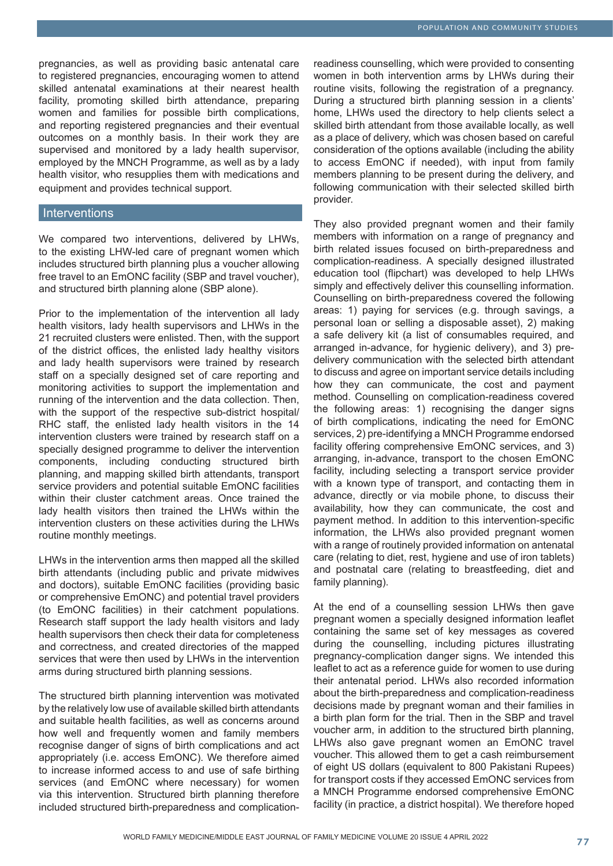pregnancies, as well as providing basic antenatal care to registered pregnancies, encouraging women to attend skilled antenatal examinations at their nearest health facility, promoting skilled birth attendance, preparing women and families for possible birth complications, and reporting registered pregnancies and their eventual outcomes on a monthly basis. In their work they are supervised and monitored by a lady health supervisor, employed by the MNCH Programme, as well as by a lady health visitor, who resupplies them with medications and equipment and provides technical support.

#### **Interventions**

We compared two interventions, delivered by LHWs, to the existing LHW-led care of pregnant women which includes structured birth planning plus a voucher allowing free travel to an EmONC facility (SBP and travel voucher), and structured birth planning alone (SBP alone).

Prior to the implementation of the intervention all lady health visitors, lady health supervisors and LHWs in the 21 recruited clusters were enlisted. Then, with the support of the district offices, the enlisted lady healthy visitors and lady health supervisors were trained by research staff on a specially designed set of care reporting and monitoring activities to support the implementation and running of the intervention and the data collection. Then, with the support of the respective sub-district hospital/ RHC staff, the enlisted lady health visitors in the 14 intervention clusters were trained by research staff on a specially designed programme to deliver the intervention components, including conducting structured birth planning, and mapping skilled birth attendants, transport service providers and potential suitable EmONC facilities within their cluster catchment areas. Once trained the lady health visitors then trained the LHWs within the intervention clusters on these activities during the LHWs routine monthly meetings.

LHWs in the intervention arms then mapped all the skilled birth attendants (including public and private midwives and doctors), suitable EmONC facilities (providing basic or comprehensive EmONC) and potential travel providers (to EmONC facilities) in their catchment populations. Research staff support the lady health visitors and lady health supervisors then check their data for completeness and correctness, and created directories of the mapped services that were then used by LHWs in the intervention arms during structured birth planning sessions.

The structured birth planning intervention was motivated by the relatively low use of available skilled birth attendants and suitable health facilities, as well as concerns around how well and frequently women and family members recognise danger of signs of birth complications and act appropriately (i.e. access EmONC). We therefore aimed to increase informed access to and use of safe birthing services (and EmONC where necessary) for women via this intervention. Structured birth planning therefore included structured birth-preparedness and complication-

readiness counselling, which were provided to consenting women in both intervention arms by LHWs during their routine visits, following the registration of a pregnancy. During a structured birth planning session in a clients' home, LHWs used the directory to help clients select a skilled birth attendant from those available locally, as well as a place of delivery, which was chosen based on careful consideration of the options available (including the ability to access EmONC if needed), with input from family members planning to be present during the delivery, and following communication with their selected skilled birth provider.

They also provided pregnant women and their family members with information on a range of pregnancy and birth related issues focused on birth-preparedness and complication-readiness. A specially designed illustrated education tool (flipchart) was developed to help LHWs simply and effectively deliver this counselling information. Counselling on birth-preparedness covered the following areas: 1) paying for services (e.g. through savings, a personal loan or selling a disposable asset), 2) making a safe delivery kit (a list of consumables required, and arranged in-advance, for hygienic delivery), and 3) predelivery communication with the selected birth attendant to discuss and agree on important service details including how they can communicate, the cost and payment method. Counselling on complication-readiness covered the following areas: 1) recognising the danger signs of birth complications, indicating the need for EmONC services, 2) pre-identifying a MNCH Programme endorsed facility offering comprehensive EmONC services, and 3) arranging, in-advance, transport to the chosen EmONC facility, including selecting a transport service provider with a known type of transport, and contacting them in advance, directly or via mobile phone, to discuss their availability, how they can communicate, the cost and payment method. In addition to this intervention-specific information, the LHWs also provided pregnant women with a range of routinely provided information on antenatal care (relating to diet, rest, hygiene and use of iron tablets) and postnatal care (relating to breastfeeding, diet and family planning).

At the end of a counselling session LHWs then gave pregnant women a specially designed information leaflet containing the same set of key messages as covered during the counselling, including pictures illustrating pregnancy-complication danger signs. We intended this leaflet to act as a reference guide for women to use during their antenatal period. LHWs also recorded information about the birth-preparedness and complication-readiness decisions made by pregnant woman and their families in a birth plan form for the trial. Then in the SBP and travel voucher arm, in addition to the structured birth planning, LHWs also gave pregnant women an EmONC travel voucher. This allowed them to get a cash reimbursement of eight US dollars (equivalent to 800 Pakistani Rupees) for transport costs if they accessed EmONC services from a MNCH Programme endorsed comprehensive EmONC facility (in practice, a district hospital). We therefore hoped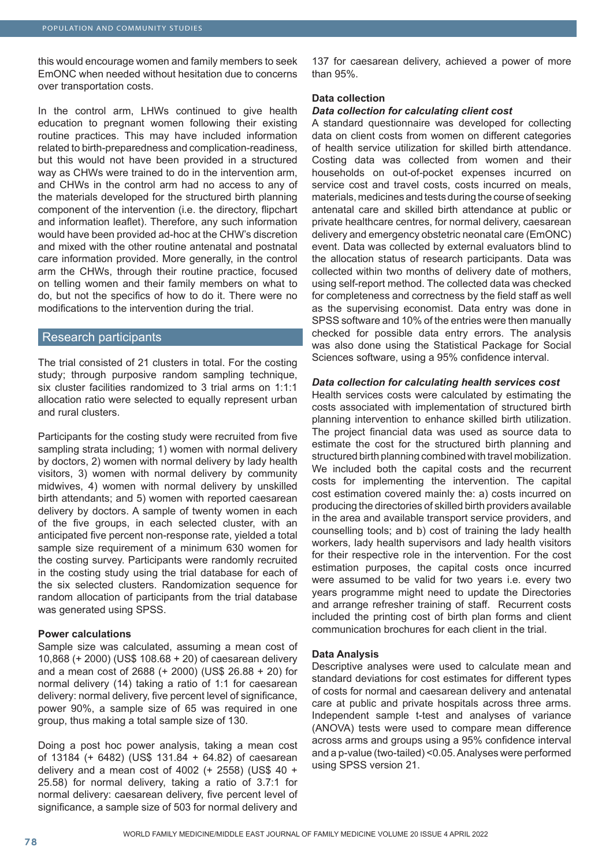this would encourage women and family members to seek EmONC when needed without hesitation due to concerns over transportation costs.

In the control arm, LHWs continued to give health education to pregnant women following their existing routine practices. This may have included information related to birth-preparedness and complication-readiness, but this would not have been provided in a structured way as CHWs were trained to do in the intervention arm, and CHWs in the control arm had no access to any of the materials developed for the structured birth planning component of the intervention (i.e. the directory, flipchart and information leaflet). Therefore, any such information would have been provided ad-hoc at the CHW's discretion and mixed with the other routine antenatal and postnatal care information provided. More generally, in the control arm the CHWs, through their routine practice, focused on telling women and their family members on what to do, but not the specifics of how to do it. There were no modifications to the intervention during the trial.

#### Research participants

The trial consisted of 21 clusters in total. For the costing study; through purposive random sampling technique, six cluster facilities randomized to 3 trial arms on 1:1:1 allocation ratio were selected to equally represent urban and rural clusters.

Participants for the costing study were recruited from five sampling strata including; 1) women with normal delivery by doctors, 2) women with normal delivery by lady health visitors, 3) women with normal delivery by community midwives, 4) women with normal delivery by unskilled birth attendants; and 5) women with reported caesarean delivery by doctors. A sample of twenty women in each of the five groups, in each selected cluster, with an anticipated five percent non-response rate, yielded a total sample size requirement of a minimum 630 women for the costing survey. Participants were randomly recruited in the costing study using the trial database for each of the six selected clusters. Randomization sequence for random allocation of participants from the trial database was generated using SPSS.

#### **Power calculations**

Sample size was calculated, assuming a mean cost of 10,868 (+ 2000) (US\$ 108.68 + 20) of caesarean delivery and a mean cost of 2688 (+ 2000) (US\$ 26.88 + 20) for normal delivery (14) taking a ratio of 1:1 for caesarean delivery: normal delivery, five percent level of significance, power 90%, a sample size of 65 was required in one group, thus making a total sample size of 130.

Doing a post hoc power analysis, taking a mean cost of 13184 (+ 6482) (US\$ 131.84 + 64.82) of caesarean delivery and a mean cost of 4002 (+ 2558) (US\$ 40 + 25.58) for normal delivery, taking a ratio of 3.7:1 for normal delivery: caesarean delivery, five percent level of significance, a sample size of 503 for normal delivery and

137 for caesarean delivery, achieved a power of more than 95%.

#### **Data collection**

#### *Data collection for calculating client cost*

A standard questionnaire was developed for collecting data on client costs from women on different categories of health service utilization for skilled birth attendance. Costing data was collected from women and their households on out-of-pocket expenses incurred on service cost and travel costs, costs incurred on meals, materials, medicines and tests during the course of seeking antenatal care and skilled birth attendance at public or private healthcare centres, for normal delivery, caesarean delivery and emergency obstetric neonatal care (EmONC) event. Data was collected by external evaluators blind to the allocation status of research participants. Data was collected within two months of delivery date of mothers, using self-report method. The collected data was checked for completeness and correctness by the field staff as well as the supervising economist. Data entry was done in SPSS software and 10% of the entries were then manually checked for possible data entry errors. The analysis was also done using the Statistical Package for Social Sciences software, using a 95% confidence interval.

#### *Data collection for calculating health services cost*

Health services costs were calculated by estimating the costs associated with implementation of structured birth planning intervention to enhance skilled birth utilization. The project financial data was used as source data to estimate the cost for the structured birth planning and structured birth planning combined with travel mobilization. We included both the capital costs and the recurrent costs for implementing the intervention. The capital cost estimation covered mainly the: a) costs incurred on producing the directories of skilled birth providers available in the area and available transport service providers, and counselling tools; and b) cost of training the lady health workers, lady health supervisors and lady health visitors for their respective role in the intervention. For the cost estimation purposes, the capital costs once incurred were assumed to be valid for two years i.e. every two years programme might need to update the Directories and arrange refresher training of staff. Recurrent costs included the printing cost of birth plan forms and client communication brochures for each client in the trial.

#### **Data Analysis**

Descriptive analyses were used to calculate mean and standard deviations for cost estimates for different types of costs for normal and caesarean delivery and antenatal care at public and private hospitals across three arms. Independent sample t-test and analyses of variance (ANOVA) tests were used to compare mean difference across arms and groups using a 95% confidence interval and a p-value (two-tailed) <0.05. Analyses were performed using SPSS version 21.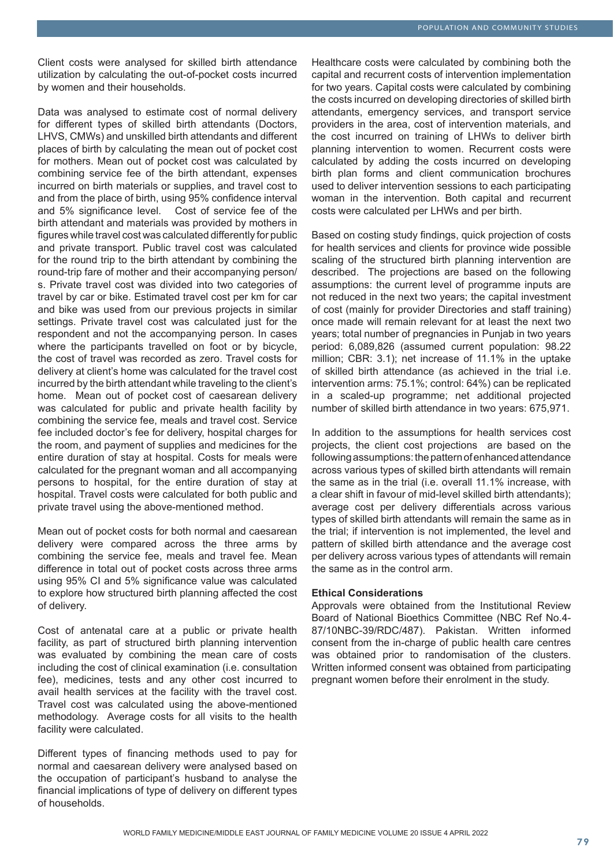Client costs were analysed for skilled birth attendance utilization by calculating the out-of-pocket costs incurred by women and their households.

Data was analysed to estimate cost of normal delivery for different types of skilled birth attendants (Doctors, LHVS, CMWs) and unskilled birth attendants and different places of birth by calculating the mean out of pocket cost for mothers. Mean out of pocket cost was calculated by combining service fee of the birth attendant, expenses incurred on birth materials or supplies, and travel cost to and from the place of birth, using 95% confidence interval and 5% significance level. Cost of service fee of the birth attendant and materials was provided by mothers in figures while travel cost was calculated differently for public and private transport. Public travel cost was calculated for the round trip to the birth attendant by combining the round-trip fare of mother and their accompanying person/ s. Private travel cost was divided into two categories of travel by car or bike. Estimated travel cost per km for car and bike was used from our previous projects in similar settings. Private travel cost was calculated just for the respondent and not the accompanying person. In cases where the participants travelled on foot or by bicycle, the cost of travel was recorded as zero. Travel costs for delivery at client's home was calculated for the travel cost incurred by the birth attendant while traveling to the client's home. Mean out of pocket cost of caesarean delivery was calculated for public and private health facility by combining the service fee, meals and travel cost. Service fee included doctor's fee for delivery, hospital charges for the room, and payment of supplies and medicines for the entire duration of stay at hospital. Costs for meals were calculated for the pregnant woman and all accompanying persons to hospital, for the entire duration of stay at hospital. Travel costs were calculated for both public and private travel using the above-mentioned method.

Mean out of pocket costs for both normal and caesarean delivery were compared across the three arms by combining the service fee, meals and travel fee. Mean difference in total out of pocket costs across three arms using 95% CI and 5% significance value was calculated to explore how structured birth planning affected the cost of delivery.

Cost of antenatal care at a public or private health facility, as part of structured birth planning intervention was evaluated by combining the mean care of costs including the cost of clinical examination (i.e. consultation fee), medicines, tests and any other cost incurred to avail health services at the facility with the travel cost. Travel cost was calculated using the above-mentioned methodology. Average costs for all visits to the health facility were calculated.

Different types of financing methods used to pay for normal and caesarean delivery were analysed based on the occupation of participant's husband to analyse the financial implications of type of delivery on different types of households.

Healthcare costs were calculated by combining both the capital and recurrent costs of intervention implementation for two years. Capital costs were calculated by combining the costs incurred on developing directories of skilled birth attendants, emergency services, and transport service providers in the area, cost of intervention materials, and the cost incurred on training of LHWs to deliver birth planning intervention to women. Recurrent costs were calculated by adding the costs incurred on developing birth plan forms and client communication brochures used to deliver intervention sessions to each participating woman in the intervention. Both capital and recurrent costs were calculated per LHWs and per birth.

Based on costing study findings, quick projection of costs for health services and clients for province wide possible scaling of the structured birth planning intervention are described. The projections are based on the following assumptions: the current level of programme inputs are not reduced in the next two years; the capital investment of cost (mainly for provider Directories and staff training) once made will remain relevant for at least the next two years; total number of pregnancies in Punjab in two years period: 6,089,826 (assumed current population: 98.22 million; CBR: 3.1); net increase of 11.1% in the uptake of skilled birth attendance (as achieved in the trial i.e. intervention arms: 75.1%; control: 64%) can be replicated in a scaled-up programme; net additional projected number of skilled birth attendance in two years: 675,971.

In addition to the assumptions for health services cost projects, the client cost projections are based on the following assumptions: the pattern of enhanced attendance across various types of skilled birth attendants will remain the same as in the trial (i.e. overall 11.1% increase, with a clear shift in favour of mid-level skilled birth attendants); average cost per delivery differentials across various types of skilled birth attendants will remain the same as in the trial; if intervention is not implemented, the level and pattern of skilled birth attendance and the average cost per delivery across various types of attendants will remain the same as in the control arm.

#### **Ethical Considerations**

Approvals were obtained from the Institutional Review Board of National Bioethics Committee (NBC Ref No.4- 87/10NBC-39/RDC/487). Pakistan. Written informed consent from the in-charge of public health care centres was obtained prior to randomisation of the clusters. Written informed consent was obtained from participating pregnant women before their enrolment in the study.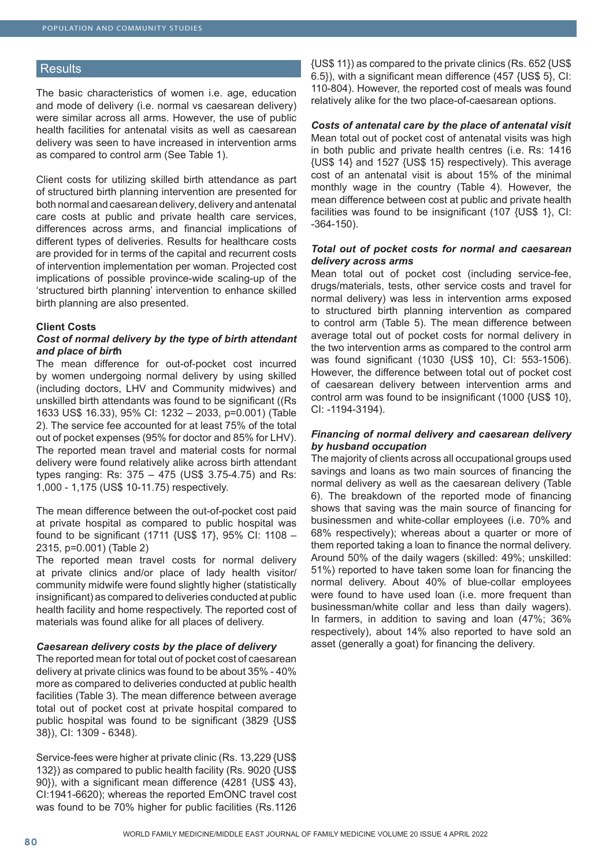#### **Results**

The basic characteristics of women i.e. age, education and mode of delivery (i.e. normal vs caesarean delivery) were similar across all arms. However, the use of public health facilities for antenatal visits as well as caesarean delivery was seen to have increased in intervention arms as compared to control arm (See Table 1).

Client costs for utilizing skilled birth attendance as part of structured birth planning intervention are presented for both normal and caesarean delivery, delivery and antenatal care costs at public and private health care services, differences across arms, and financial implications of different types of deliveries. Results for healthcare costs are provided for in terms of the capital and recurrent costs of intervention implementation per woman. Projected cost implications of possible province-wide scaling-up of the 'structured birth planning' intervention to enhance skilled birth planning are also presented.

#### **Client Costs**

#### *Cost of normal delivery by the type of birth attendant and place of birt***h**

The mean difference for out-of-pocket cost incurred by women undergoing normal delivery by using skilled (including doctors, LHV and Community midwives) and unskilled birth attendants was found to be significant ((Rs 1633 US\$ 16.33), 95% CI: 1232 – 2033, p=0.001) (Table 2). The service fee accounted for at least 75% of the total out of pocket expenses (95% for doctor and 85% for LHV). The reported mean travel and material costs for normal delivery were found relatively alike across birth attendant types ranging: Rs: 375 – 475 (US\$ 3.75-4.75) and Rs: 1,000 - 1,175 (US\$ 10-11.75) respectively.

The mean difference between the out-of-pocket cost paid at private hospital as compared to public hospital was found to be significant (1711 {US\$ 17}, 95% CI: 1108 – 2315, p=0.001) (Table 2)

The reported mean travel costs for normal delivery at private clinics and/or place of lady health visitor/ community midwife were found slightly higher (statistically insignificant) as compared to deliveries conducted at public health facility and home respectively. The reported cost of materials was found alike for all places of delivery.

#### *Caesarean delivery costs by the place of delivery*

The reported mean for total out of pocket cost of caesarean delivery at private clinics was found to be about 35% - 40% more as compared to deliveries conducted at public health facilities (Table 3). The mean difference between average total out of pocket cost at private hospital compared to public hospital was found to be significant (3829 {US\$ 38}), CI: 1309 - 6348).

Service-fees were higher at private clinic (Rs. 13,229 {US\$ 132}) as compared to public health facility (Rs. 9020 {US\$ 90}), with a significant mean difference (4281 {US\$ 43}, CI:1941-6620); whereas the reported EmONC travel cost was found to be 70% higher for public facilities (Rs.1126

{US\$ 11}) as compared to the private clinics (Rs. 652 {US\$ 6.5}), with a significant mean difference (457 {US\$ 5}, CI: 110-804). However, the reported cost of meals was found relatively alike for the two place-of-caesarean options.

*Costs of antenatal care by the place of antenatal visit* Mean total out of pocket cost of antenatal visits was high in both public and private health centres (i.e. Rs: 1416 {US\$ 14} and 1527 {US\$ 15} respectively). This average cost of an antenatal visit is about 15% of the minimal monthly wage in the country (Table 4). However, the mean difference between cost at public and private health facilities was found to be insignificant (107 {US\$ 1}, CI: -364-150).

#### *Total out of pocket costs for normal and caesarean delivery across arms*

Mean total out of pocket cost (including service-fee, drugs/materials, tests, other service costs and travel for normal delivery) was less in intervention arms exposed to structured birth planning intervention as compared to control arm (Table 5). The mean difference between average total out of pocket costs for normal delivery in the two intervention arms as compared to the control arm was found significant (1030 {US\$ 10}, CI: 553-1506). However, the difference between total out of pocket cost of caesarean delivery between intervention arms and control arm was found to be insignificant (1000 {US\$ 10}, CI: -1194-3194).

#### *Financing of normal delivery and caesarean delivery by husband occupation*

The majority of clients across all occupational groups used savings and loans as two main sources of financing the normal delivery as well as the caesarean delivery (Table 6). The breakdown of the reported mode of financing shows that saving was the main source of financing for businessmen and white-collar employees (i.e. 70% and 68% respectively); whereas about a quarter or more of them reported taking a loan to finance the normal delivery. Around 50% of the daily wagers (skilled: 49%; unskilled: 51%) reported to have taken some loan for financing the normal delivery. About 40% of blue-collar employees were found to have used loan (i.e. more frequent than businessman/white collar and less than daily wagers). In farmers, in addition to saving and loan (47%; 36% respectively), about 14% also reported to have sold an asset (generally a goat) for financing the delivery.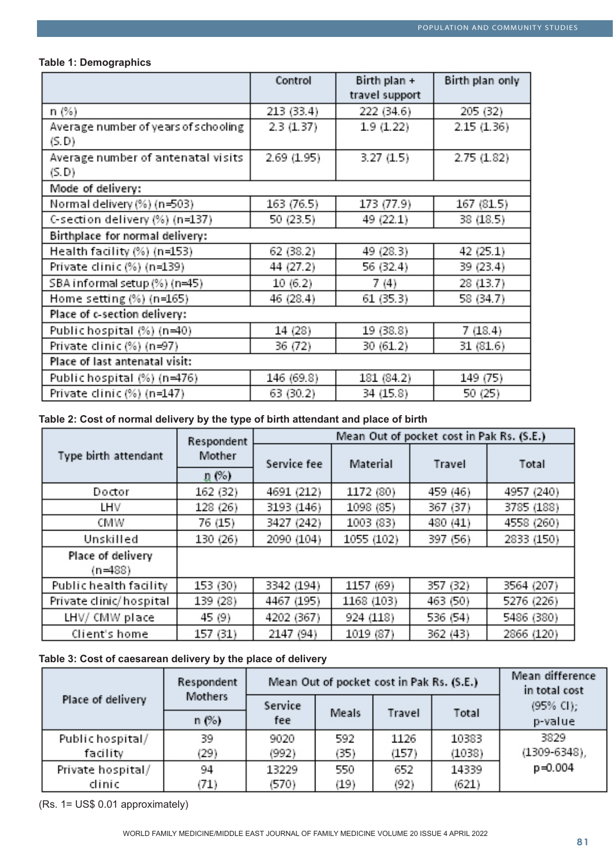# **Table 1: Demographics**

|                                      | Control    | Birth plan +   | Birth plan only |
|--------------------------------------|------------|----------------|-----------------|
|                                      |            | travel support |                 |
| n (%)                                | 213 (33.4) | 222 (34.6)     | 205 (32)        |
| Average number of years of schooling | 2.3(1.37)  | 1.9 (1.22)     | 2.15(1.36)      |
| (S.D)                                |            |                |                 |
| Average number of antenatal visits   | 2.69(1.95) | 3.27(1.5)      | 2.75(1.82)      |
| (S.D)                                |            |                |                 |
| Mode of delivery:                    |            |                |                 |
| Normal delivery (%) (n=503)          | 163 (76.5) | 173 (77.9)     | 167 (81.5)      |
| C-section delivery (%) (n=137)       | 50 (23.5)  | 49 (22.1)      | 38 (18.5)       |
| Birthplace for normal delivery:      |            |                |                 |
| Health facility (%) (n=153)          | 62 (38.2)  | 49 (28.3)      | 42 (25.1)       |
| Private clinic (%) (n=139)           | 44 (27.2)  | 56 (32.4)      | 39 (23.4)       |
| SBA informal setup (%) (n=45)        | 10(6.2)    | 7(4)           | 28 (13.7)       |
| Home setting (%) (n=165)             | 46 (28.4)  | 61 (35.3)      | 58 (34.7)       |
| Place of c-section delivery:         |            |                |                 |
| Public hospital (%) (n=40)           | 14 (28)    | 19 (38.8)      | 7 (18.4)        |
| Private clinic (%) (n=97)            | 36 (72)    | 30 (61.2)      | 31 (81.6)       |
| Place of last antenatal visit:       |            |                |                 |
| Public hospital (%) (n=476)          | 146 (69.8) | 181 (84.2)     | 149 (75)        |
| Private clinic (%) (n=147)           | 63 (30.2)  | 34 (15.8)      | 50 (25)         |

# **Table 2: Cost of normal delivery by the type of birth attendant and place of birth**

|                         | Respondent | Mean Out of pocket cost in Pak Rs. (S.E.) |            |          |            |  |  |
|-------------------------|------------|-------------------------------------------|------------|----------|------------|--|--|
| Type birth attendant    | Mother     | Service fee                               | Material   | Travel   | Total      |  |  |
|                         | ղ (%)      |                                           |            |          |            |  |  |
| Doctor                  | 162 (32)   | 4691 (212)                                | 1172 (80)  | 459 (46) | 4957 (240) |  |  |
| LHV                     | 128 (26)   | 3193 (146)                                | 1098 (85)  | 367 (37) | 3785 (188) |  |  |
| CMW                     | 76 (15)    | 3427 (242)                                | 1003 (83)  | 480 (41) | 4558 (260) |  |  |
| Unskilled               | 130 (26)   | 2090 (104)                                | 1055 (102) | 397 (56) | 2833 (150) |  |  |
| Place of delivery       |            |                                           |            |          |            |  |  |
| $(n=488)$               |            |                                           |            |          |            |  |  |
| Public health facility  | 153 (30)   | 3342 (194)                                | 1157 (69)  | 357 (32) | 3564 (207) |  |  |
| Private clinic/hospital | 139 (28)   | 4467 (195)                                | 1168 (103) | 463 (50) | 5276 (226) |  |  |
| LHV/ CMW place          | 45 (9)     | 4202 (367)                                | 924 (118)  | 536 (54) | 5486 (380) |  |  |
| Client's home           | 157 (31)   | 2147 (94)                                 | 1019 (87)  | 362 (43) | 2866 (120) |  |  |

# **Table 3: Cost of caesarean delivery by the place of delivery**

|                   | Respondent |         |       | Mean Out of pocket cost in Pak Rs. (S.E.) | Mean difference<br>in total cost |                       |
|-------------------|------------|---------|-------|-------------------------------------------|----------------------------------|-----------------------|
| Place of delivery | Mothers    | Service | Meals | Travel                                    | Total                            | $(95\% \text{ Cl})$ ; |
|                   | n(%)       | fee     |       |                                           |                                  | p-value               |
| Public hospital/  | 39         | 9020    | 592   | 1126                                      | 10383                            | 3829                  |
| facility          | (29)       | (992)   | (35)  | (157)                                     | (1038)                           | $(1309 - 6348)$ ,     |
| Private hospital/ | 94         | 13229   | 550   | 652                                       | 14339                            | $p = 0.004$           |
| clinic            | (71)       | (570)   | (19)  | (92)                                      | (621)                            |                       |

(Rs. 1= US\$ 0.01 approximately)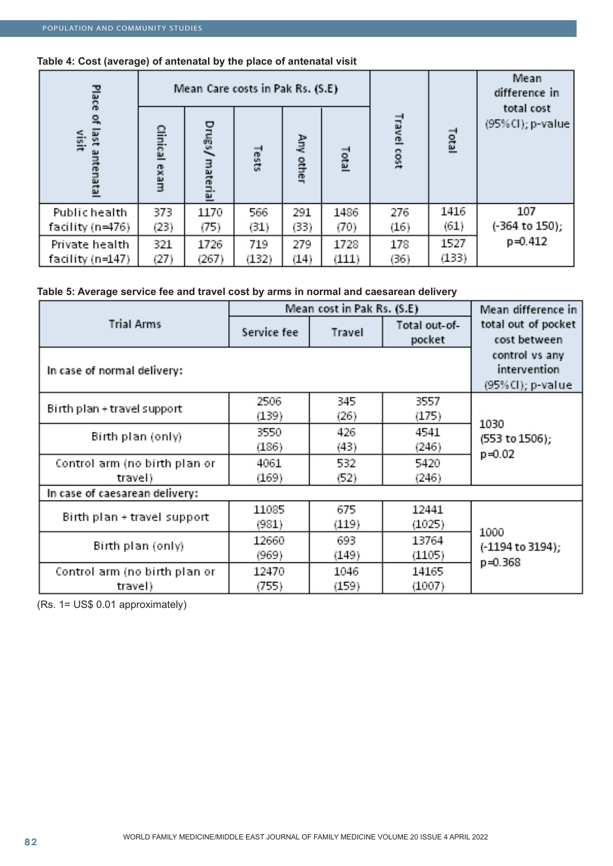# **Table 4: Cost (average) of antenatal by the place of antenatal visit**

| Place                          |                  | Mean Care costs in Pak Rs. (S.E) |       |              |       |                |       | Mean<br>difference in<br>total cost |
|--------------------------------|------------------|----------------------------------|-------|--------------|-------|----------------|-------|-------------------------------------|
| 1981<br>visit<br>őυ,<br>enatal | Clinical<br>exam | Drugs/<br>material               | Tests | Any<br>other | Total | Travel<br>cost | Total | (95%Cl); p-value                    |
| Public health                  | 373              | 1170                             | 566   | 291          | 1486  | 276            | 1416  | 107                                 |
| facility (n⇒476)               | (23)             | (75)                             | (31)  | (33)         | (70)  | (16)           | (61)  | (-364 to 150);                      |
| Private health                 | 321              | 1726                             | 719   | 279          | 1728  | 178            | 1527  | $p = 0.412$                         |
| facility (n=147)               | (27)             | (267)                            | (132) | (14)         | (111) | (36)           | (133) |                                     |

# **Table 5: Average service fee and travel cost by arms in normal and caesarean delivery**

|                                          | Mean cost in Pak Rs. (S.E)                         | Mean difference in |                         |                                     |  |
|------------------------------------------|----------------------------------------------------|--------------------|-------------------------|-------------------------------------|--|
| <b>Trial Arms</b>                        | Service fee                                        | Travel             | Total out-of-<br>pocket | total out of pocket<br>cost between |  |
| In case of normal delivery:              | control vs any<br>intervention<br>(95%Cl); p-value |                    |                         |                                     |  |
| Birth plan + travel support              | 2506<br>(139)                                      | 345<br>(26)        | 3557<br>(175)           |                                     |  |
| Birth plan (only)                        | 3550<br>(186)                                      | 426<br>(43)        | 4541<br>(246)           | 1030<br>(553 to 1506);              |  |
| Control arm (no birth plan or<br>travel) | 4061<br>(169)                                      | 532<br>(52)        | 5420<br>(246)           | $p = 0.02$                          |  |
| In case of caesarean delivery:           |                                                    |                    |                         |                                     |  |
| Birth plan + travel support              | 11085<br>(981)                                     | 675<br>(119)       | 12441<br>(1025)         |                                     |  |
| Birth plan (only)                        | 12660<br>(969)                                     | 693<br>(149)       | 13764<br>(1105)         | 1000<br>(-1194 to 3194);<br>p=0.368 |  |
| Control arm (no birth plan or<br>travel) | 12470<br>(755)                                     | 1046<br>(159)      | 14165<br>(1007)         |                                     |  |

(Rs. 1= US\$ 0.01 approximately)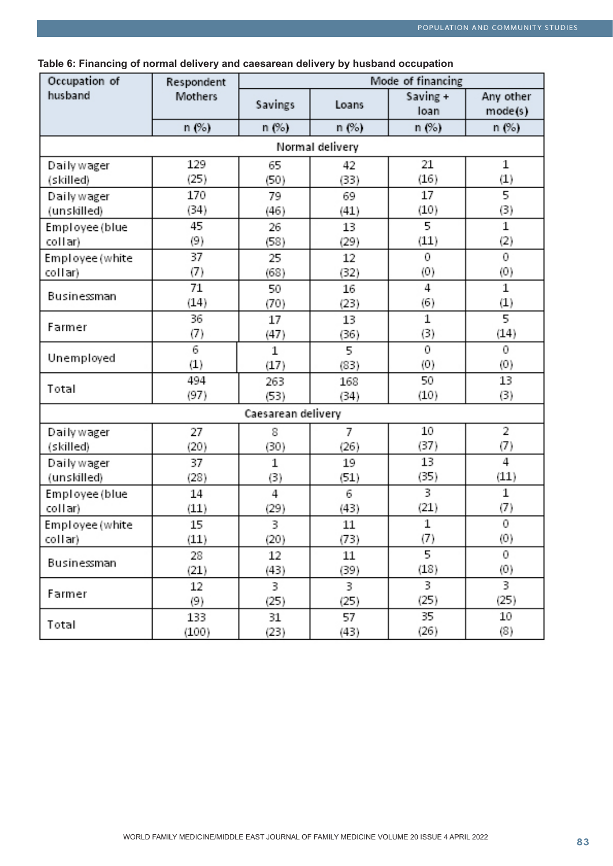| Occupation of   | Mode of financing<br>Respondent |                    |       |                  |                      |  |  |  |  |
|-----------------|---------------------------------|--------------------|-------|------------------|----------------------|--|--|--|--|
| husband         | Mothers                         | Savings            | Loans | Saving +<br>loan | Any other<br>mode(s) |  |  |  |  |
|                 | n(%)                            | n (%)              | n (%) | n (%)            | n (%)                |  |  |  |  |
|                 | Normal delivery                 |                    |       |                  |                      |  |  |  |  |
| Daily wager     | 129                             | 65                 | 42    | 21               | 1                    |  |  |  |  |
| (skilled)       | (25)                            | (50)               | (33)  | (16)             | $\scriptstyle{(1)}$  |  |  |  |  |
| Daily wager     | 170                             | 79                 | 69    | 17               | $\overline{5}$       |  |  |  |  |
| (unskilled)     | (34)                            | (46)               | (41)  | (10)             | (3)                  |  |  |  |  |
| Employee (blue  | 45                              | 26                 | 13    | 5                | 1                    |  |  |  |  |
| collar)         | (9)                             | (58)               | (29)  | (11)             | $\left( 2\right)$    |  |  |  |  |
| Employee (white | 37                              | 25                 | 12    | 0                | 0                    |  |  |  |  |
| collar)         | (7)                             | (68)               | (32)  | (0)              | (0)                  |  |  |  |  |
|                 | 71                              | 50                 | 16    | 4                | 1                    |  |  |  |  |
| Businestman     | (14)                            | (70)               | (23)  | (6)              | $\left( 1\right)$    |  |  |  |  |
|                 | 36                              | 17                 | 13    | $\mathbf 1$      | $\overline{5}$       |  |  |  |  |
| Farmer          | (7)                             | (47)               | (36)  | (3)              | (14)                 |  |  |  |  |
| Unemployed      | 6                               | 1                  | 5     | 0                | 0                    |  |  |  |  |
|                 | (1)                             | (17)               | (83)  | (0)              | (0)                  |  |  |  |  |
| Total           | 494                             | 263                | 168   | 50               | 13                   |  |  |  |  |
|                 | (97)                            | (53)               | (34)  | (10)             | (3)                  |  |  |  |  |
|                 |                                 | Caesarean delivery |       |                  |                      |  |  |  |  |
| Daily wager     | 27                              | 8                  | 7     | 10               | 2                    |  |  |  |  |
| (skilled)       | (20)                            | (30)               | (26)  | (37)             | (7)                  |  |  |  |  |
| Daily wager     | 37                              | 1                  | 19    | 13               | 4                    |  |  |  |  |
| (unskilled)     | (28)                            | (3)                | (51)  | (35)             | (11)                 |  |  |  |  |
| Employee (blue  | 14                              | 4                  | 6     | 3                | 1                    |  |  |  |  |
| collar)         | (11)                            | (29)               | (43)  | (21)             | (7)                  |  |  |  |  |
| Employee (white | 15                              | 3                  | 11    | 1                | 0                    |  |  |  |  |
| collar)         | (11)                            | (20)               | (73)  | (7)              | (0)                  |  |  |  |  |
|                 | 28                              | 12                 | 11    | 5                | 0                    |  |  |  |  |
| Businestman     | (21)                            | (43)               | (39)  | (18)             | (0)                  |  |  |  |  |
|                 | 12                              | 3                  | 3     | 3                | 3                    |  |  |  |  |
| Farmer          | (9)                             | (25)               | (25)  | (25)             | (25)                 |  |  |  |  |
|                 | 133                             | 31                 | 57    | 35               | 10                   |  |  |  |  |
| Total           | (100)                           | (23)               | (43)  | (26)             | (8)                  |  |  |  |  |

**Table 6: Financing of normal delivery and caesarean delivery by husband occupation**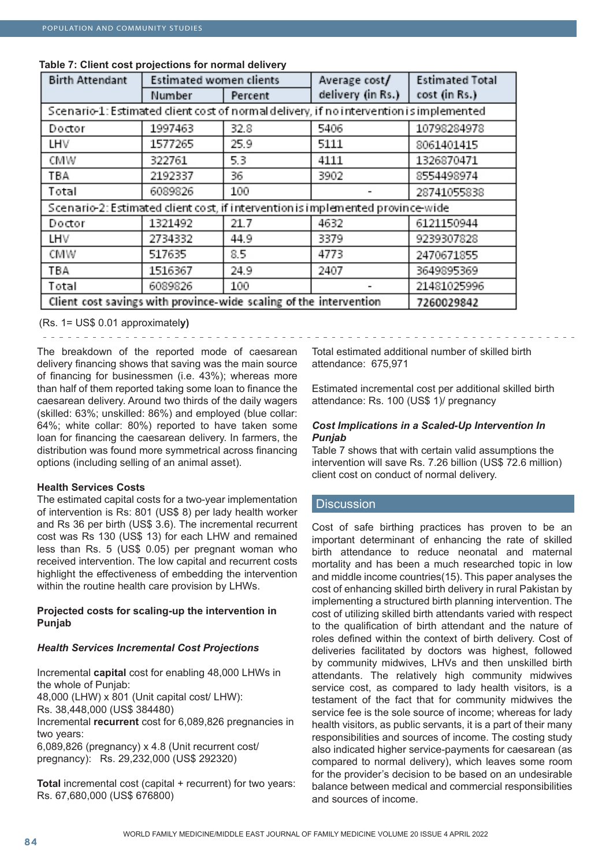| <b>Birth Attendant</b>                                                                  | <b>Estimated women clients</b>                                                  |         | Average cost/     | <b>Estimated Total</b> |  |  |  |
|-----------------------------------------------------------------------------------------|---------------------------------------------------------------------------------|---------|-------------------|------------------------|--|--|--|
|                                                                                         | Number                                                                          | Percent | delivery (in Rs.) | cost (in Rs.)          |  |  |  |
| Scenario-1: Estimated client cost of normal delivery, if no intervention is implemented |                                                                                 |         |                   |                        |  |  |  |
| Doctor                                                                                  | 1997463                                                                         | 32.8    | 5406              | 10798284978            |  |  |  |
| LHV                                                                                     | 1577265                                                                         | 25.9    | 5111              | 8061401415             |  |  |  |
| CMW                                                                                     | 322761                                                                          | 5.3     | 4111              | 1326870471             |  |  |  |
| TBA                                                                                     | 2192337                                                                         | 36      | 3902              | 8554498974             |  |  |  |
| Total                                                                                   | 6089826                                                                         | 100     |                   | 28741055838            |  |  |  |
|                                                                                         | Scenario-2: Estimated client cost, if intervention is implemented province-wide |         |                   |                        |  |  |  |
| Doctor                                                                                  | 1321492                                                                         | 21.7    | 4632              | 6121150944             |  |  |  |
| LHV                                                                                     | 2734332                                                                         | 44.9    | 3379              | 9239307828             |  |  |  |
| CMW                                                                                     | 517635                                                                          | 8.5     | 4773              | 2470671855             |  |  |  |
| ТВА                                                                                     | 1516367                                                                         | 24.9    | 2407              | 3649895369             |  |  |  |
| Total                                                                                   | 6089826                                                                         | 100     |                   | 21481025996            |  |  |  |
| Client cost savings with province-wide scaling of the intervention<br>7260029842        |                                                                                 |         |                   |                        |  |  |  |

## **Table 7: Client cost projections for normal delivery**

(Rs. 1= US\$ 0.01 approximatel**y)**

The breakdown of the reported mode of caesarean delivery financing shows that saving was the main source of financing for businessmen (i.e. 43%); whereas more than half of them reported taking some loan to finance the caesarean delivery. Around two thirds of the daily wagers (skilled: 63%; unskilled: 86%) and employed (blue collar: 64%; white collar: 80%) reported to have taken some loan for financing the caesarean delivery. In farmers, the distribution was found more symmetrical across financing options (including selling of an animal asset).

# **Health Services Costs**

The estimated capital costs for a two-year implementation of intervention is Rs: 801 (US\$ 8) per lady health worker and Rs 36 per birth (US\$ 3.6). The incremental recurrent cost was Rs 130 (US\$ 13) for each LHW and remained less than Rs. 5 (US\$ 0.05) per pregnant woman who received intervention. The low capital and recurrent costs highlight the effectiveness of embedding the intervention within the routine health care provision by LHWs.

# **Projected costs for scaling-up the intervention in Punjab**

# *Health Services Incremental Cost Projections*

Incremental **capital** cost for enabling 48,000 LHWs in the whole of Punjab: 48,000 (LHW) x 801 (Unit capital cost/ LHW): Rs. 38,448,000 (US\$ 384480) Incremental **recurrent** cost for 6,089,826 pregnancies in two years: 6,089,826 (pregnancy) x 4.8 (Unit recurrent cost/ pregnancy): Rs. 29,232,000 (US\$ 292320)

**Total** incremental cost (capital + recurrent) for two years: Rs. 67,680,000 (US\$ 676800)

Total estimated additional number of skilled birth attendance: 675,971

Estimated incremental cost per additional skilled birth attendance: Rs. 100 (US\$ 1)/ pregnancy

## *Cost Implications in a Scaled-Up Intervention In Punjab*

Table 7 shows that with certain valid assumptions the intervention will save Rs. 7.26 billion (US\$ 72.6 million) client cost on conduct of normal delivery.

# **Discussion**

Cost of safe birthing practices has proven to be an important determinant of enhancing the rate of skilled birth attendance to reduce neonatal and maternal mortality and has been a much researched topic in low and middle income countries(15). This paper analyses the cost of enhancing skilled birth delivery in rural Pakistan by implementing a structured birth planning intervention. The cost of utilizing skilled birth attendants varied with respect to the qualification of birth attendant and the nature of roles defined within the context of birth delivery. Cost of deliveries facilitated by doctors was highest, followed by community midwives, LHVs and then unskilled birth attendants. The relatively high community midwives service cost, as compared to lady health visitors, is a testament of the fact that for community midwives the service fee is the sole source of income; whereas for lady health visitors, as public servants, it is a part of their many responsibilities and sources of income. The costing study also indicated higher service-payments for caesarean (as compared to normal delivery), which leaves some room for the provider's decision to be based on an undesirable balance between medical and commercial responsibilities and sources of income.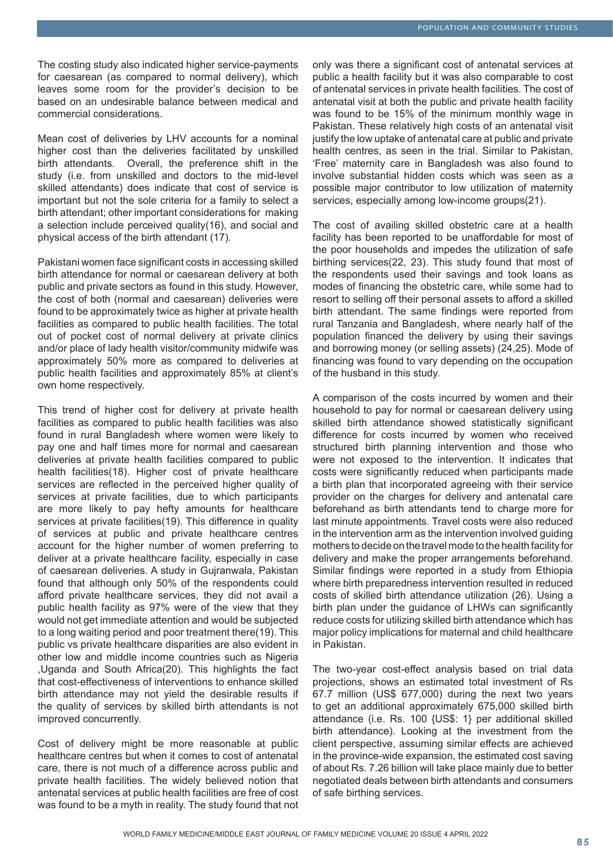The costing study also indicated higher service-payments for caesarean (as compared to normal delivery), which leaves some room for the provider's decision to be based on an undesirable balance between medical and commercial considerations.

Mean cost of deliveries by LHV accounts for a nominal higher cost than the deliveries facilitated by unskilled birth attendants. Overall, the preference shift in the study (i.e. from unskilled and doctors to the mid-level skilled attendants) does indicate that cost of service is important but not the sole criteria for a family to select a birth attendant; other important considerations for making a selection include perceived quality(16), and social and physical access of the birth attendant (17).

Pakistani women face significant costs in accessing skilled birth attendance for normal or caesarean delivery at both public and private sectors as found in this study. However, the cost of both (normal and caesarean) deliveries were found to be approximately twice as higher at private health facilities as compared to public health facilities. The total out of pocket cost of normal delivery at private clinics and/or place of lady health visitor/community midwife was approximately 50% more as compared to deliveries at public health facilities and approximately 85% at client's own home respectively.

This trend of higher cost for delivery at private health facilities as compared to public health facilities was also found in rural Bangladesh where women were likely to pay one and half times more for normal and caesarean deliveries at private health facilities compared to public health facilities(18). Higher cost of private healthcare services are reflected in the perceived higher quality of services at private facilities, due to which participants are more likely to pay hefty amounts for healthcare services at private facilities(19). This difference in quality of services at public and private healthcare centres account for the higher number of women preferring to deliver at a private healthcare facility, especially in case of caesarean deliveries. A study in Gujranwala, Pakistan found that although only 50% of the respondents could afford private healthcare services, they did not avail a public health facility as 97% were of the view that they would not get immediate attention and would be subjected to a long waiting period and poor treatment there(19). This public vs private healthcare disparities are also evident in other low and middle income countries such as Nigeria ,Uganda and South Africa(20). This highlights the fact that cost-effectiveness of interventions to enhance skilled birth attendance may not yield the desirable results if the quality of services by skilled birth attendants is not improved concurrently.

Cost of delivery might be more reasonable at public healthcare centres but when it comes to cost of antenatal care, there is not much of a difference across public and private health facilities. The widely believed notion that antenatal services at public health facilities are free of cost was found to be a myth in reality. The study found that not

only was there a significant cost of antenatal services at public a health facility but it was also comparable to cost of antenatal services in private health facilities. The cost of antenatal visit at both the public and private health facility was found to be 15% of the minimum monthly wage in Pakistan. These relatively high costs of an antenatal visit justify the low uptake of antenatal care at public and private health centres, as seen in the trial. Similar to Pakistan, 'Free' maternity care in Bangladesh was also found to involve substantial hidden costs which was seen as a possible major contributor to low utilization of maternity services, especially among low-income groups(21).

The cost of availing skilled obstetric care at a health facility has been reported to be unaffordable for most of the poor households and impedes the utilization of safe birthing services(22, 23). This study found that most of the respondents used their savings and took loans as modes of financing the obstetric care, while some had to resort to selling off their personal assets to afford a skilled birth attendant. The same findings were reported from rural Tanzania and Bangladesh, where nearly half of the population financed the delivery by using their savings and borrowing money (or selling assets) (24,25). Mode of financing was found to vary depending on the occupation of the husband in this study.

A comparison of the costs incurred by women and their household to pay for normal or caesarean delivery using skilled birth attendance showed statistically significant difference for costs incurred by women who received structured birth planning intervention and those who were not exposed to the intervention. It indicates that costs were significantly reduced when participants made a birth plan that incorporated agreeing with their service provider on the charges for delivery and antenatal care beforehand as birth attendants tend to charge more for last minute appointments. Travel costs were also reduced in the intervention arm as the intervention involved guiding mothers to decide on the travel mode to the health facility for delivery and make the proper arrangements beforehand. Similar findings were reported in a study from Ethiopia where birth preparedness intervention resulted in reduced costs of skilled birth attendance utilization (26). Using a birth plan under the guidance of LHWs can significantly reduce costs for utilizing skilled birth attendance which has major policy implications for maternal and child healthcare in Pakistan.

The two-year cost-effect analysis based on trial data projections, shows an estimated total investment of Rs 67.7 million (US\$ 677,000) during the next two years to get an additional approximately 675,000 skilled birth attendance (i.e. Rs. 100 {US\$: 1} per additional skilled birth attendance). Looking at the investment from the client perspective, assuming similar effects are achieved in the province-wide expansion, the estimated cost saving of about Rs. 7.26 billion will take place mainly due to better negotiated deals between birth attendants and consumers of safe birthing services.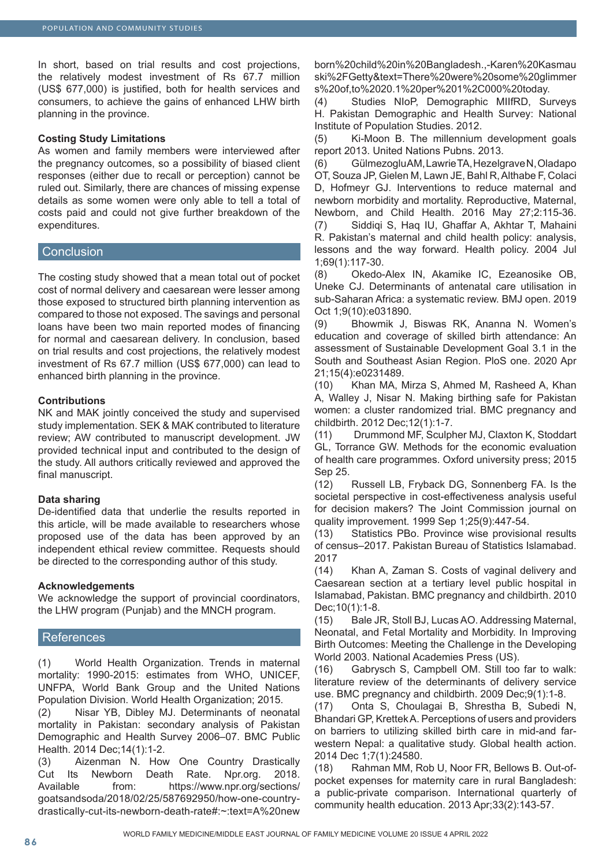In short, based on trial results and cost projections, the relatively modest investment of Rs 67.7 million (US\$ 677,000) is justified, both for health services and consumers, to achieve the gains of enhanced LHW birth planning in the province.

#### **Costing Study Limitations**

As women and family members were interviewed after the pregnancy outcomes, so a possibility of biased client responses (either due to recall or perception) cannot be ruled out. Similarly, there are chances of missing expense details as some women were only able to tell a total of costs paid and could not give further breakdown of the expenditures.

#### **Conclusion**

The costing study showed that a mean total out of pocket cost of normal delivery and caesarean were lesser among those exposed to structured birth planning intervention as compared to those not exposed. The savings and personal loans have been two main reported modes of financing for normal and caesarean delivery. In conclusion, based on trial results and cost projections, the relatively modest investment of Rs 67.7 million (US\$ 677,000) can lead to enhanced birth planning in the province.

#### **Contributions**

NK and MAK jointly conceived the study and supervised study implementation. SEK & MAK contributed to literature review; AW contributed to manuscript development. JW provided technical input and contributed to the design of the study. All authors critically reviewed and approved the final manuscript.

#### **Data sharing**

De-identified data that underlie the results reported in this article, will be made available to researchers whose proposed use of the data has been approved by an independent ethical review committee. Requests should be directed to the corresponding author of this study.

#### **Acknowledgements**

We acknowledge the support of provincial coordinators, the LHW program (Punjab) and the MNCH program.

#### References

(1) World Health Organization. Trends in maternal mortality: 1990-2015: estimates from WHO, UNICEF, UNFPA, World Bank Group and the United Nations Population Division. World Health Organization; 2015.

(2) Nisar YB, Dibley MJ. Determinants of neonatal mortality in Pakistan: secondary analysis of Pakistan Demographic and Health Survey 2006–07. BMC Public Health. 2014 Dec;14(1):1-2.

(3) Aizenman N. How One Country Drastically Cut Its Newborn Death Rate. Npr.org. 2018. Available from: https://www.npr.org/sections/ goatsandsoda/2018/02/25/587692950/how-one-countrydrastically-cut-its-newborn-death-rate#:~:text=A%20new born%20child%20in%20Bangladesh.,-Karen%20Kasmau ski%2FGetty&text=There%20were%20some%20glimmer s%20of,to%2020.1%20per%201%2C000%20today.

(4) Studies NIoP, Demographic MIIfRD, Surveys H. Pakistan Demographic and Health Survey: National Institute of Population Studies. 2012.

(5) Ki-Moon B. The millennium development goals report 2013. United Nations Pubns. 2013.

(6) Gülmezoglu AM, Lawrie TA, Hezelgrave N, Oladapo OT, Souza JP, Gielen M, Lawn JE, Bahl R, Althabe F, Colaci D, Hofmeyr GJ. Interventions to reduce maternal and newborn morbidity and mortality. Reproductive, Maternal, Newborn, and Child Health. 2016 May 27;2:115-36. (7) Siddiqi S, Haq IU, Ghaffar A, Akhtar T, Mahaini R. Pakistan's maternal and child health policy: analysis, lessons and the way forward. Health policy. 2004 Jul 1;69(1):117-30.

(8) Okedo-Alex IN, Akamike IC, Ezeanosike OB, Uneke CJ. Determinants of antenatal care utilisation in sub-Saharan Africa: a systematic review. BMJ open. 2019 Oct 1;9(10):e031890.

(9) Bhowmik J, Biswas RK, Ananna N. Women's education and coverage of skilled birth attendance: An assessment of Sustainable Development Goal 3.1 in the South and Southeast Asian Region. PloS one. 2020 Apr 21;15(4):e0231489.

(10) Khan MA, Mirza S, Ahmed M, Rasheed A, Khan A, Walley J, Nisar N. Making birthing safe for Pakistan women: a cluster randomized trial. BMC pregnancy and childbirth. 2012 Dec;12(1):1-7.

(11) Drummond MF, Sculpher MJ, Claxton K, Stoddart GL, Torrance GW. Methods for the economic evaluation of health care programmes. Oxford university press; 2015 Sep 25.

(12) Russell LB, Fryback DG, Sonnenberg FA. Is the societal perspective in cost-effectiveness analysis useful for decision makers? The Joint Commission journal on quality improvement. 1999 Sep 1;25(9):447-54.

(13) Statistics PBo. Province wise provisional results of census–2017. Pakistan Bureau of Statistics Islamabad. 2017

(14) Khan A, Zaman S. Costs of vaginal delivery and Caesarean section at a tertiary level public hospital in Islamabad, Pakistan. BMC pregnancy and childbirth. 2010 Dec;10(1):1-8.

(15) Bale JR, Stoll BJ, Lucas AO. Addressing Maternal, Neonatal, and Fetal Mortality and Morbidity. In Improving Birth Outcomes: Meeting the Challenge in the Developing World 2003. National Academies Press (US).

(16) Gabrysch S, Campbell OM. Still too far to walk: literature review of the determinants of delivery service use. BMC pregnancy and childbirth. 2009 Dec;9(1):1-8.

(17) Onta S, Choulagai B, Shrestha B, Subedi N, Bhandari GP, Krettek A. Perceptions of users and providers on barriers to utilizing skilled birth care in mid-and farwestern Nepal: a qualitative study. Global health action. 2014 Dec 1;7(1):24580.

(18) Rahman MM, Rob U, Noor FR, Bellows B. Out-ofpocket expenses for maternity care in rural Bangladesh: a public-private comparison. International quarterly of community health education. 2013 Apr;33(2):143-57.